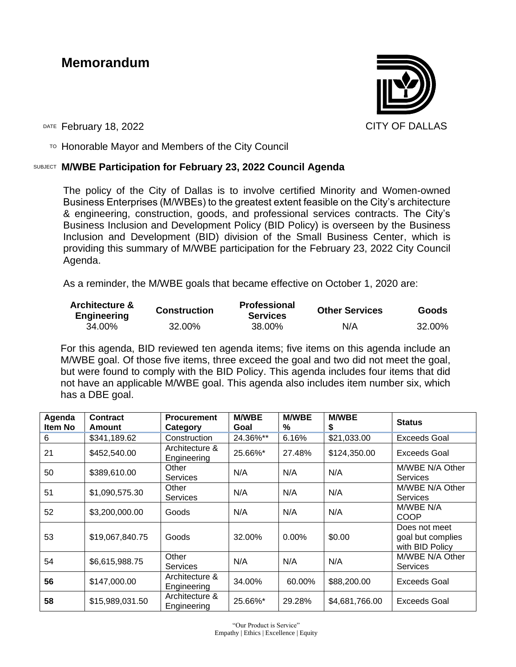# **Memorandum**



DATE February 18, 2022 **CITY OF DALLAS** 

 $T$ <sup>O</sup> Honorable Mayor and Members of the City Council

### SUBJECT **M/WBE Participation for February 23, 2022 Council Agenda**

The policy of the City of Dallas is to involve certified Minority and Women-owned Business Enterprises (M/WBEs) to the greatest extent feasible on the City's architecture & engineering, construction, goods, and professional services contracts. The City's Business Inclusion and Development Policy (BID Policy) is overseen by the Business Inclusion and Development (BID) division of the Small Business Center, which is providing this summary of M/WBE participation for the February 23, 2022 City Council Agenda.

As a reminder, the M/WBE goals that became effective on October 1, 2020 are:

| <b>Architecture &amp;</b><br><b>Engineering</b> | <b>Construction</b> | <b>Professional</b><br><b>Services</b> | <b>Other Services</b> | Goods  |  |
|-------------------------------------------------|---------------------|----------------------------------------|-----------------------|--------|--|
| 34.00%                                          | 32.00%              | 38.00%                                 | N/A                   | 32.00% |  |

For this agenda, BID reviewed ten agenda items; five items on this agenda include an M/WBE goal. Of those five items, three exceed the goal and two did not meet the goal, but were found to comply with the BID Policy. This agenda includes four items that did not have an applicable M/WBE goal. This agenda also includes item number six, which has a DBE goal.

| Agenda<br>Item No | <b>Contract</b><br>Amount | <b>Procurement</b><br>Category | <b>M/WBE</b><br>Goal | <b>M/WBE</b><br>% | <b>M/WBE</b><br>\$ | <b>Status</b>                                         |
|-------------------|---------------------------|--------------------------------|----------------------|-------------------|--------------------|-------------------------------------------------------|
| 6                 | \$341,189.62              | Construction                   | 24.36%**             | 6.16%             | \$21,033.00        | <b>Exceeds Goal</b>                                   |
| 21                | \$452,540.00              | Architecture &<br>Engineering  | 25.66%*              | 27.48%            | \$124,350.00       | Exceeds Goal                                          |
| 50                | \$389,610.00              | Other<br><b>Services</b>       | N/A                  | N/A               | N/A                | M/WBE N/A Other<br><b>Services</b>                    |
| 51                | \$1,090,575.30            | Other<br><b>Services</b>       | N/A                  | N/A               | N/A                | M/WBE N/A Other<br><b>Services</b>                    |
| 52                | \$3,200,000.00            | Goods                          | N/A                  | N/A               | N/A                | M/WBE N/A<br>COOP                                     |
| 53                | \$19,067,840.75           | Goods                          | 32.00%               | $0.00\%$          | \$0.00             | Does not meet<br>goal but complies<br>with BID Policy |
| 54                | \$6,615,988.75            | Other<br><b>Services</b>       | N/A                  | N/A               | N/A                | M/WBE N/A Other<br><b>Services</b>                    |
| 56                | \$147,000.00              | Architecture &<br>Engineering  | 34.00%               | 60.00%            | \$88,200.00        | <b>Exceeds Goal</b>                                   |
| 58                | \$15,989,031.50           | Architecture &<br>Engineering  | 25.66%*              | 29.28%            | \$4,681,766.00     | Exceeds Goal                                          |